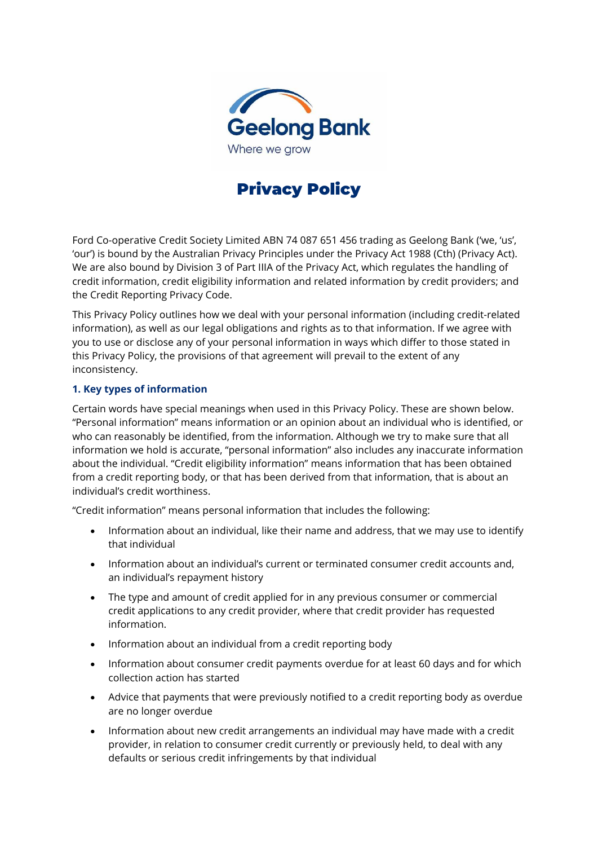

# Privacy Policy

Ford Co-operative Credit Society Limited ABN 74 087 651 456 trading as Geelong Bank ('we, 'us', 'our') is bound by the Australian Privacy Principles under the Privacy Act 1988 (Cth) (Privacy Act). We are also bound by Division 3 of Part IIIA of the Privacy Act, which regulates the handling of credit information, credit eligibility information and related information by credit providers; and the Credit Reporting Privacy Code.

This Privacy Policy outlines how we deal with your personal information (including credit-related information), as well as our legal obligations and rights as to that information. If we agree with you to use or disclose any of your personal information in ways which differ to those stated in this Privacy Policy, the provisions of that agreement will prevail to the extent of any inconsistency.

## **1. Key types of information**

Certain words have special meanings when used in this Privacy Policy. These are shown below. "Personal information" means information or an opinion about an individual who is identified, or who can reasonably be identified, from the information. Although we try to make sure that all information we hold is accurate, "personal information" also includes any inaccurate information about the individual. "Credit eligibility information" means information that has been obtained from a credit reporting body, or that has been derived from that information, that is about an individual's credit worthiness.

"Credit information" means personal information that includes the following:

- Information about an individual, like their name and address, that we may use to identify that individual
- Information about an individual's current or terminated consumer credit accounts and, an individual's repayment history
- The type and amount of credit applied for in any previous consumer or commercial credit applications to any credit provider, where that credit provider has requested information.
- Information about an individual from a credit reporting body
- Information about consumer credit payments overdue for at least 60 days and for which collection action has started
- Advice that payments that were previously notified to a credit reporting body as overdue are no longer overdue
- Information about new credit arrangements an individual may have made with a credit provider, in relation to consumer credit currently or previously held, to deal with any defaults or serious credit infringements by that individual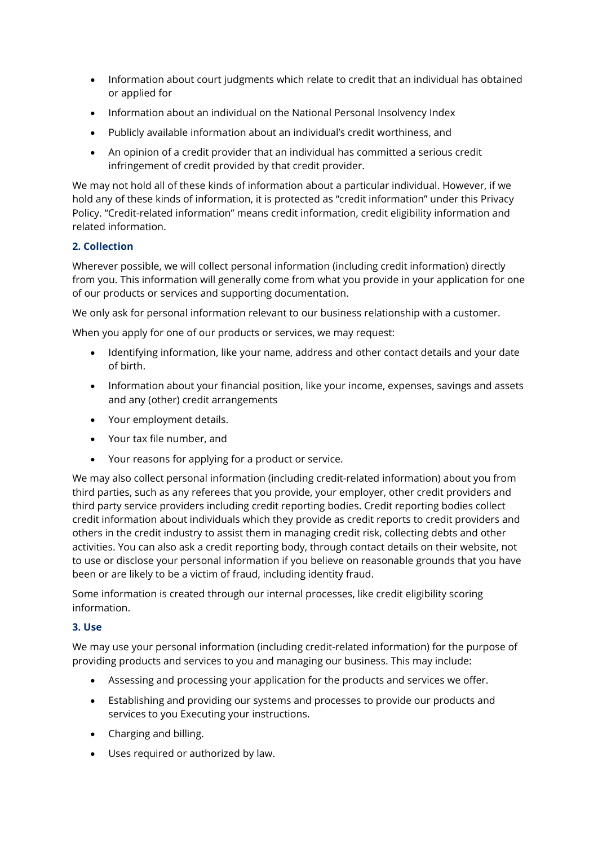- Information about court judgments which relate to credit that an individual has obtained or applied for
- Information about an individual on the National Personal Insolvency Index
- Publicly available information about an individual's credit worthiness, and
- An opinion of a credit provider that an individual has committed a serious credit infringement of credit provided by that credit provider.

We may not hold all of these kinds of information about a particular individual. However, if we hold any of these kinds of information, it is protected as "credit information" under this Privacy Policy. "Credit-related information" means credit information, credit eligibility information and related information.

# **2. Collection**

Wherever possible, we will collect personal information (including credit information) directly from you. This information will generally come from what you provide in your application for one of our products or services and supporting documentation.

We only ask for personal information relevant to our business relationship with a customer.

When you apply for one of our products or services, we may request:

- Identifying information, like your name, address and other contact details and your date of birth.
- Information about your financial position, like your income, expenses, savings and assets and any (other) credit arrangements
- Your employment details.
- Your tax file number, and
- Your reasons for applying for a product or service.

We may also collect personal information (including credit-related information) about you from third parties, such as any referees that you provide, your employer, other credit providers and third party service providers including credit reporting bodies. Credit reporting bodies collect credit information about individuals which they provide as credit reports to credit providers and others in the credit industry to assist them in managing credit risk, collecting debts and other activities. You can also ask a credit reporting body, through contact details on their website, not to use or disclose your personal information if you believe on reasonable grounds that you have been or are likely to be a victim of fraud, including identity fraud.

Some information is created through our internal processes, like credit eligibility scoring information.

### **3. Use**

We may use your personal information (including credit-related information) for the purpose of providing products and services to you and managing our business. This may include:

- Assessing and processing your application for the products and services we offer.
- Establishing and providing our systems and processes to provide our products and services to you Executing your instructions.
- Charging and billing.
- Uses required or authorized by law.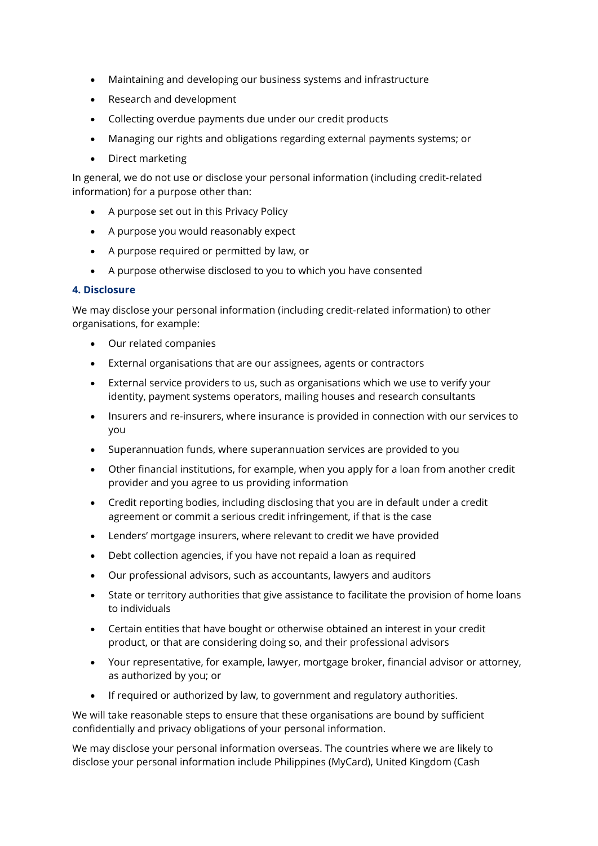- Maintaining and developing our business systems and infrastructure
- Research and development
- Collecting overdue payments due under our credit products
- Managing our rights and obligations regarding external payments systems; or
- Direct marketing

In general, we do not use or disclose your personal information (including credit-related information) for a purpose other than:

- A purpose set out in this Privacy Policy
- A purpose you would reasonably expect
- A purpose required or permitted by law, or
- A purpose otherwise disclosed to you to which you have consented

#### **4. Disclosure**

We may disclose your personal information (including credit-related information) to other organisations, for example:

- Our related companies
- External organisations that are our assignees, agents or contractors
- External service providers to us, such as organisations which we use to verify your identity, payment systems operators, mailing houses and research consultants
- Insurers and re-insurers, where insurance is provided in connection with our services to you
- Superannuation funds, where superannuation services are provided to you
- Other financial institutions, for example, when you apply for a loan from another credit provider and you agree to us providing information
- Credit reporting bodies, including disclosing that you are in default under a credit agreement or commit a serious credit infringement, if that is the case
- Lenders' mortgage insurers, where relevant to credit we have provided
- Debt collection agencies, if you have not repaid a loan as required
- Our professional advisors, such as accountants, lawyers and auditors
- State or territory authorities that give assistance to facilitate the provision of home loans to individuals
- Certain entities that have bought or otherwise obtained an interest in your credit product, or that are considering doing so, and their professional advisors
- Your representative, for example, lawyer, mortgage broker, financial advisor or attorney, as authorized by you; or
- If required or authorized by law, to government and regulatory authorities.

We will take reasonable steps to ensure that these organisations are bound by sufficient confidentially and privacy obligations of your personal information.

We may disclose your personal information overseas. The countries where we are likely to disclose your personal information include Philippines (MyCard), United Kingdom (Cash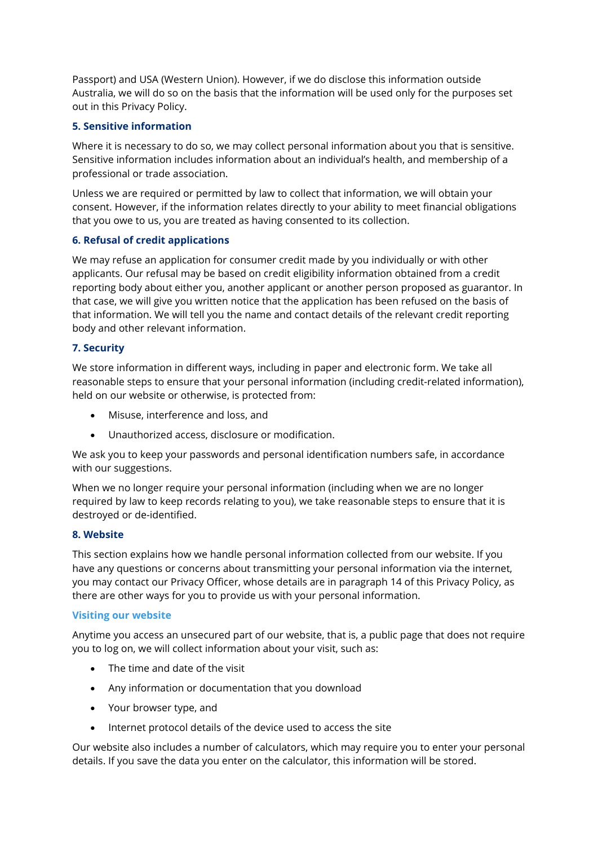Passport) and USA (Western Union). However, if we do disclose this information outside Australia, we will do so on the basis that the information will be used only for the purposes set out in this Privacy Policy.

# **5. Sensitive information**

Where it is necessary to do so, we may collect personal information about you that is sensitive. Sensitive information includes information about an individual's health, and membership of a professional or trade association.

Unless we are required or permitted by law to collect that information, we will obtain your consent. However, if the information relates directly to your ability to meet financial obligations that you owe to us, you are treated as having consented to its collection.

# **6. Refusal of credit applications**

We may refuse an application for consumer credit made by you individually or with other applicants. Our refusal may be based on credit eligibility information obtained from a credit reporting body about either you, another applicant or another person proposed as guarantor. In that case, we will give you written notice that the application has been refused on the basis of that information. We will tell you the name and contact details of the relevant credit reporting body and other relevant information.

# **7. Security**

We store information in different ways, including in paper and electronic form. We take all reasonable steps to ensure that your personal information (including credit-related information), held on our website or otherwise, is protected from:

- Misuse, interference and loss, and
- Unauthorized access, disclosure or modification.

We ask you to keep your passwords and personal identification numbers safe, in accordance with our suggestions.

When we no longer require your personal information (including when we are no longer required by law to keep records relating to you), we take reasonable steps to ensure that it is destroyed or de-identified.

# **8. Website**

This section explains how we handle personal information collected from our website. If you have any questions or concerns about transmitting your personal information via the internet, you may contact our Privacy Officer, whose details are in paragraph 14 of this Privacy Policy, as there are other ways for you to provide us with your personal information.

# **Visiting our website**

Anytime you access an unsecured part of our website, that is, a public page that does not require you to log on, we will collect information about your visit, such as:

- The time and date of the visit
- Any information or documentation that you download
- Your browser type, and
- Internet protocol details of the device used to access the site

Our website also includes a number of calculators, which may require you to enter your personal details. If you save the data you enter on the calculator, this information will be stored.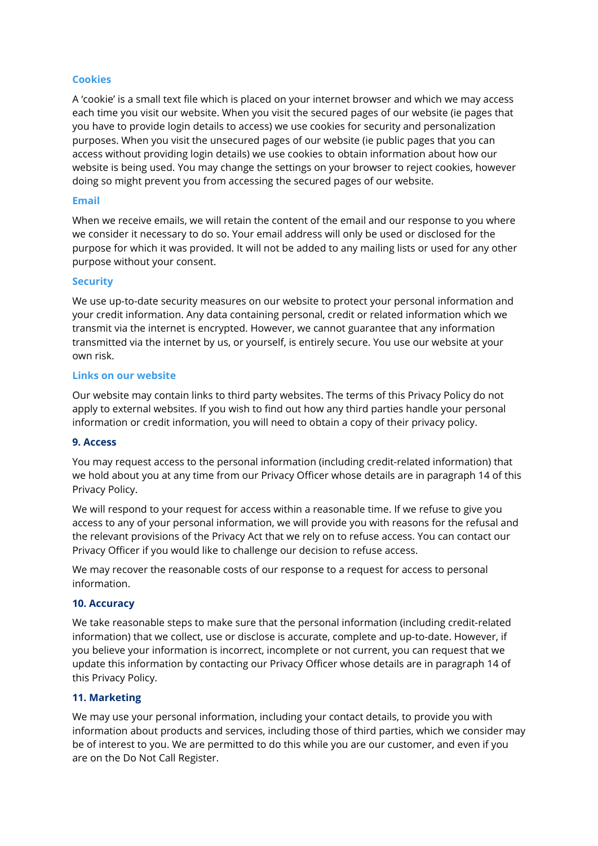## **Cookies**

A 'cookie' is a small text file which is placed on your internet browser and which we may access each time you visit our website. When you visit the secured pages of our website (ie pages that you have to provide login details to access) we use cookies for security and personalization purposes. When you visit the unsecured pages of our website (ie public pages that you can access without providing login details) we use cookies to obtain information about how our website is being used. You may change the settings on your browser to reject cookies, however doing so might prevent you from accessing the secured pages of our website.

### **Email**

When we receive emails, we will retain the content of the email and our response to you where we consider it necessary to do so. Your email address will only be used or disclosed for the purpose for which it was provided. It will not be added to any mailing lists or used for any other purpose without your consent.

#### **Security**

We use up-to-date security measures on our website to protect your personal information and your credit information. Any data containing personal, credit or related information which we transmit via the internet is encrypted. However, we cannot guarantee that any information transmitted via the internet by us, or yourself, is entirely secure. You use our website at your own risk.

#### **Links on our website**

Our website may contain links to third party websites. The terms of this Privacy Policy do not apply to external websites. If you wish to find out how any third parties handle your personal information or credit information, you will need to obtain a copy of their privacy policy.

#### **9. Access**

You may request access to the personal information (including credit-related information) that we hold about you at any time from our Privacy Officer whose details are in paragraph 14 of this Privacy Policy.

We will respond to your request for access within a reasonable time. If we refuse to give you access to any of your personal information, we will provide you with reasons for the refusal and the relevant provisions of the Privacy Act that we rely on to refuse access. You can contact our Privacy Officer if you would like to challenge our decision to refuse access.

We may recover the reasonable costs of our response to a request for access to personal information.

#### **10. Accuracy**

We take reasonable steps to make sure that the personal information (including credit-related information) that we collect, use or disclose is accurate, complete and up-to-date. However, if you believe your information is incorrect, incomplete or not current, you can request that we update this information by contacting our Privacy Officer whose details are in paragraph 14 of this Privacy Policy.

# **11. Marketing**

We may use your personal information, including your contact details, to provide you with information about products and services, including those of third parties, which we consider may be of interest to you. We are permitted to do this while you are our customer, and even if you are on the Do Not Call Register.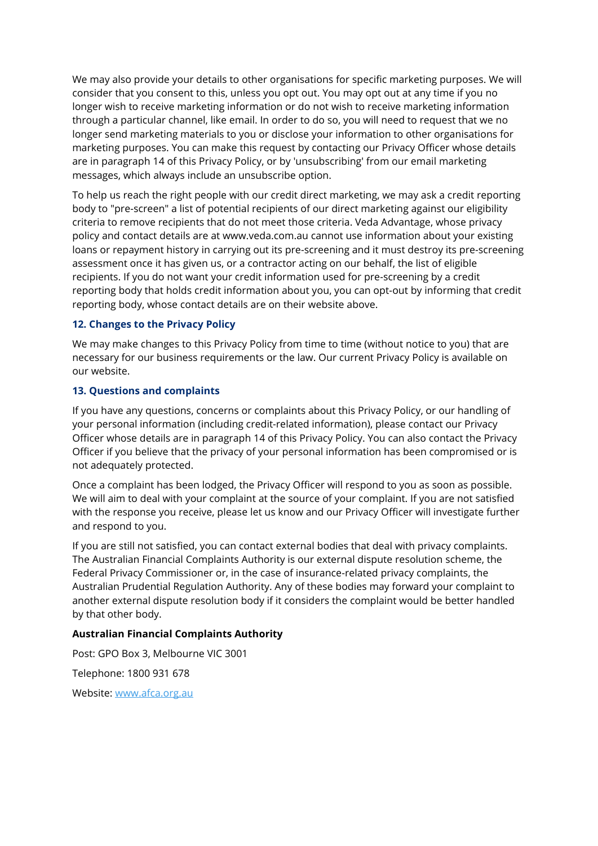We may also provide your details to other organisations for specific marketing purposes. We will consider that you consent to this, unless you opt out. You may opt out at any time if you no longer wish to receive marketing information or do not wish to receive marketing information through a particular channel, like email. In order to do so, you will need to request that we no longer send marketing materials to you or disclose your information to other organisations for marketing purposes. You can make this request by contacting our Privacy Officer whose details are in paragraph 14 of this Privacy Policy, or by 'unsubscribing' from our email marketing messages, which always include an unsubscribe option.

To help us reach the right people with our credit direct marketing, we may ask a credit reporting body to "pre-screen" a list of potential recipients of our direct marketing against our eligibility criteria to remove recipients that do not meet those criteria. Veda Advantage, whose privacy policy and contact details are at www.veda.com.au cannot use information about your existing loans or repayment history in carrying out its pre-screening and it must destroy its pre-screening assessment once it has given us, or a contractor acting on our behalf, the list of eligible recipients. If you do not want your credit information used for pre-screening by a credit reporting body that holds credit information about you, you can opt-out by informing that credit reporting body, whose contact details are on their website above.

## **12. Changes to the Privacy Policy**

We may make changes to this Privacy Policy from time to time (without notice to you) that are necessary for our business requirements or the law. Our current Privacy Policy is available on our website.

## **13. Questions and complaints**

If you have any questions, concerns or complaints about this Privacy Policy, or our handling of your personal information (including credit-related information), please contact our Privacy Officer whose details are in paragraph 14 of this Privacy Policy. You can also contact the Privacy Officer if you believe that the privacy of your personal information has been compromised or is not adequately protected.

Once a complaint has been lodged, the Privacy Officer will respond to you as soon as possible. We will aim to deal with your complaint at the source of your complaint. If you are not satisfied with the response you receive, please let us know and our Privacy Officer will investigate further and respond to you.

If you are still not satisfied, you can contact external bodies that deal with privacy complaints. The Australian Financial Complaints Authority is our external dispute resolution scheme, the Federal Privacy Commissioner or, in the case of insurance-related privacy complaints, the Australian Prudential Regulation Authority. Any of these bodies may forward your complaint to another external dispute resolution body if it considers the complaint would be better handled by that other body.

#### **Australian Financial Complaints Authority**

Post: GPO Box 3, Melbourne VIC 3001

Telephone: 1800 931 678

Website: www.afca.org.au